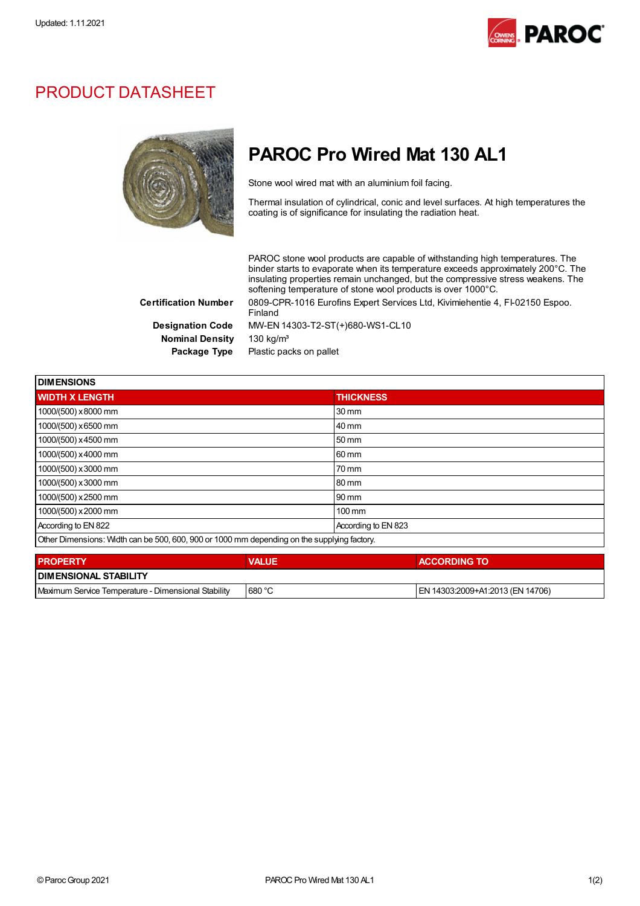

## PRODUCT DATASHEET



## PAROC Pro Wired Mat 130 AL1

Stone wool wired mat with an aluminium foil facing.

Thermal insulation of cylindrical, conic and level surfaces. At high temperatures the coating is of significance for insulating the radiation heat.

PAROC stone wool products are capable of withstanding high temperatures. The binder starts to evaporate when its temperature exceeds approximately 200°C. The insulating properties remain unchanged, but the compressive stress weakens. The softening temperature of stone wool products is over 1000°C.

Nominal Density 130 kg/m<sup>3</sup>

Certification Number 0809-CPR-1016 Eurofins Expert Services Ltd, Kivimiehentie 4, FI-02150 Espoo. Finland Designation Code MW-EN 14303-T2-ST(+)680-WS1-CL10

Package Type Plastic packs on pallet

| <b>DIMENSIONS</b>                                                                           |                     |  |  |
|---------------------------------------------------------------------------------------------|---------------------|--|--|
| <b>WIDTH X LENGTH</b>                                                                       | <b>THICKNESS</b>    |  |  |
| 1000/(500) x8000 mm                                                                         | 30 mm               |  |  |
| 1000/(500) x 6500 mm                                                                        | 40 mm               |  |  |
| 1000/(500) x 4500 mm                                                                        | 50 mm               |  |  |
| 1000/(500) x 4000 mm                                                                        | 60 mm               |  |  |
| 1000/(500) x 3000 mm                                                                        | 70 mm               |  |  |
| 1000/(500) x 3000 mm                                                                        | 80 mm               |  |  |
| 1000/(500) x 2500 mm                                                                        | 90 mm               |  |  |
| 1000/(500) x 2000 mm                                                                        | $100 \text{ mm}$    |  |  |
| According to EN 822                                                                         | According to EN 823 |  |  |
| Other Dimensions: Width can be 500, 600, 900 or 1000 mm depending on the supplying factory. |                     |  |  |
|                                                                                             |                     |  |  |

| <b>PROPERTY</b>                                     | <b>VALUE</b> | <b>ACCORDING TO</b>              |  |  |  |
|-----------------------------------------------------|--------------|----------------------------------|--|--|--|
| <b>I DIMENSIONAL STABILITY</b>                      |              |                                  |  |  |  |
| Maximum Service Temperature - Dimensional Stability | 680 °C       | EN 14303:2009+A1:2013 (EN 14706) |  |  |  |